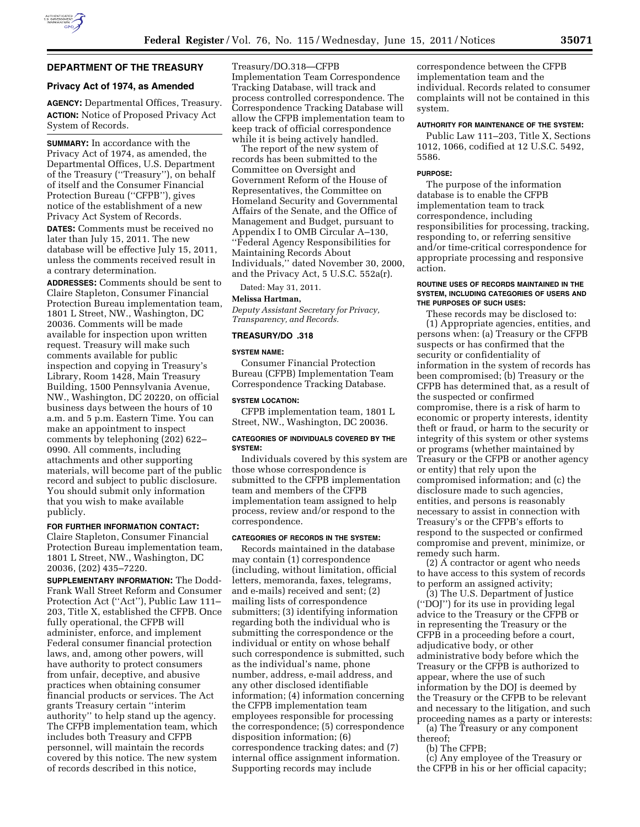

## **DEPARTMENT OF THE TREASURY**

### **Privacy Act of 1974, as Amended**

**AGENCY:** Departmental Offices, Treasury. **ACTION:** Notice of Proposed Privacy Act System of Records.

**SUMMARY:** In accordance with the Privacy Act of 1974, as amended, the Departmental Offices, U.S. Department of the Treasury (''Treasury''), on behalf of itself and the Consumer Financial Protection Bureau (''CFPB''), gives notice of the establishment of a new Privacy Act System of Records.

**DATES:** Comments must be received no later than July 15, 2011. The new database will be effective July 15, 2011, unless the comments received result in a contrary determination.

**ADDRESSES:** Comments should be sent to Claire Stapleton, Consumer Financial Protection Bureau implementation team, 1801 L Street, NW., Washington, DC 20036. Comments will be made available for inspection upon written request. Treasury will make such comments available for public inspection and copying in Treasury's Library, Room 1428, Main Treasury Building, 1500 Pennsylvania Avenue, NW., Washington, DC 20220, on official business days between the hours of 10 a.m. and 5 p.m. Eastern Time. You can make an appointment to inspect comments by telephoning (202) 622– 0990. All comments, including attachments and other supporting materials, will become part of the public record and subject to public disclosure. You should submit only information that you wish to make available publicly.

#### **FOR FURTHER INFORMATION CONTACT:**

Claire Stapleton, Consumer Financial Protection Bureau implementation team, 1801 L Street, NW., Washington, DC 20036, (202) 435–7220.

**SUPPLEMENTARY INFORMATION:** The Dodd-Frank Wall Street Reform and Consumer Protection Act (''Act''), Public Law 111– 203, Title X, established the CFPB. Once fully operational, the CFPB will administer, enforce, and implement Federal consumer financial protection laws, and, among other powers, will have authority to protect consumers from unfair, deceptive, and abusive practices when obtaining consumer financial products or services. The Act grants Treasury certain ''interim authority'' to help stand up the agency. The CFPB implementation team, which includes both Treasury and CFPB personnel, will maintain the records covered by this notice. The new system of records described in this notice,

Treasury/DO.318—CFPB Implementation Team Correspondence Tracking Database, will track and process controlled correspondence. The Correspondence Tracking Database will allow the CFPB implementation team to keep track of official correspondence while it is being actively handled.

The report of the new system of records has been submitted to the Committee on Oversight and Government Reform of the House of Representatives, the Committee on Homeland Security and Governmental Affairs of the Senate, and the Office of Management and Budget, pursuant to Appendix I to OMB Circular A–130, ''Federal Agency Responsibilities for Maintaining Records About Individuals,'' dated November 30, 2000, and the Privacy Act, 5 U.S.C. 552a(r).

Dated: May 31, 2011.

#### **Melissa Hartman,**

*Deputy Assistant Secretary for Privacy, Transparency, and Records.* 

### **TREASURY/DO .318**

#### **SYSTEM NAME:**

Consumer Financial Protection Bureau (CFPB) Implementation Team Correspondence Tracking Database.

#### **SYSTEM LOCATION:**

CFPB implementation team, 1801 L Street, NW., Washington, DC 20036.

#### **CATEGORIES OF INDIVIDUALS COVERED BY THE SYSTEM:**

Individuals covered by this system are those whose correspondence is submitted to the CFPB implementation team and members of the CFPB implementation team assigned to help process, review and/or respond to the correspondence.

#### **CATEGORIES OF RECORDS IN THE SYSTEM:**

Records maintained in the database may contain (1) correspondence (including, without limitation, official letters, memoranda, faxes, telegrams, and e-mails) received and sent; (2) mailing lists of correspondence submitters; (3) identifying information regarding both the individual who is submitting the correspondence or the individual or entity on whose behalf such correspondence is submitted, such as the individual's name, phone number, address, e-mail address, and any other disclosed identifiable information; (4) information concerning the CFPB implementation team employees responsible for processing the correspondence; (5) correspondence disposition information; (6) correspondence tracking dates; and (7) internal office assignment information. Supporting records may include

correspondence between the CFPB implementation team and the individual. Records related to consumer complaints will not be contained in this system.

#### **AUTHORITY FOR MAINTENANCE OF THE SYSTEM:**

Public Law 111–203, Title X, Sections 1012, 1066, codified at 12 U.S.C. 5492, 5586.

#### **PURPOSE:**

The purpose of the information database is to enable the CFPB implementation team to track correspondence, including responsibilities for processing, tracking, responding to, or referring sensitive and/or time-critical correspondence for appropriate processing and responsive action.

#### **ROUTINE USES OF RECORDS MAINTAINED IN THE SYSTEM, INCLUDING CATEGORIES OF USERS AND THE PURPOSES OF SUCH USES:**

These records may be disclosed to: (1) Appropriate agencies, entities, and persons when: (a) Treasury or the CFPB suspects or has confirmed that the security or confidentiality of information in the system of records has been compromised; (b) Treasury or the CFPB has determined that, as a result of the suspected or confirmed compromise, there is a risk of harm to economic or property interests, identity theft or fraud, or harm to the security or integrity of this system or other systems or programs (whether maintained by Treasury or the CFPB or another agency or entity) that rely upon the compromised information; and (c) the disclosure made to such agencies, entities, and persons is reasonably necessary to assist in connection with Treasury's or the CFPB's efforts to respond to the suspected or confirmed compromise and prevent, minimize, or remedy such harm.

(2) A contractor or agent who needs to have access to this system of records to perform an assigned activity;

(3) The U.S. Department of Justice (''DOJ'') for its use in providing legal advice to the Treasury or the CFPB or in representing the Treasury or the CFPB in a proceeding before a court, adjudicative body, or other administrative body before which the Treasury or the CFPB is authorized to appear, where the use of such information by the DOJ is deemed by the Treasury or the CFPB to be relevant and necessary to the litigation, and such proceeding names as a party or interests: (a) The Treasury or any component

thereof;

(b) The CFPB;

(c) Any employee of the Treasury or the CFPB in his or her official capacity;